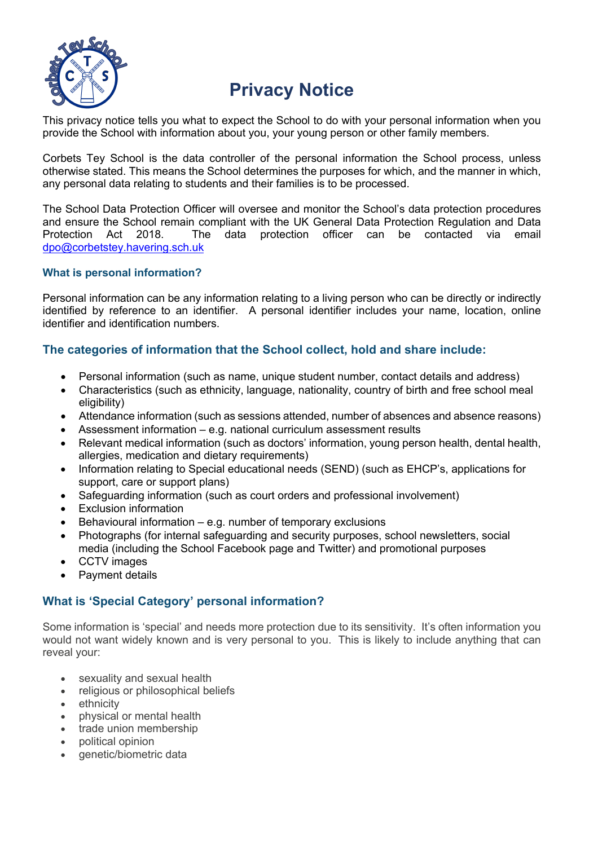

# **Privacy Notice**

This privacy notice tells you what to expect the School to do with your personal information when you provide the School with information about you, your young person or other family members.

Corbets Tey School is the data controller of the personal information the School process, unless otherwise stated. This means the School determines the purposes for which, and the manner in which, any personal data relating to students and their families is to be processed.

The School Data Protection Officer will oversee and monitor the School's data protection procedures and ensure the School remain compliant with the UK General Data Protection Regulation and Data Protection Act 2018. The data protection officer can be contacted via email dpo@corbetstey.havering.sch.uk

#### **What is personal information?**

Personal information can be any information relating to a living person who can be directly or indirectly identified by reference to an identifier. A personal identifier includes your name, location, online identifier and identification numbers.

## **The categories of information that the School collect, hold and share include:**

- Personal information (such as name, unique student number, contact details and address)
- Characteristics (such as ethnicity, language, nationality, country of birth and free school meal eligibility)
- Attendance information (such as sessions attended, number of absences and absence reasons)
- Assessment information e.g. national curriculum assessment results
- Relevant medical information (such as doctors' information, young person health, dental health, allergies, medication and dietary requirements)
- Information relating to Special educational needs (SEND) (such as EHCP's, applications for support, care or support plans)
- Safeguarding information (such as court orders and professional involvement)
- **Exclusion information**
- Behavioural information  $-$  e.g. number of temporary exclusions
- Photographs (for internal safeguarding and security purposes, school newsletters, social media (including the School Facebook page and Twitter) and promotional purposes
- CCTV images
- Payment details

## **What is 'Special Category' personal information?**

Some information is 'special' and needs more protection due to its sensitivity. It's often information you would not want widely known and is very personal to you. This is likely to include anything that can reveal your:

- sexuality and sexual health
- religious or philosophical beliefs
- **ethnicity**
- physical or mental health
- trade union membership
- political opinion
- genetic/biometric data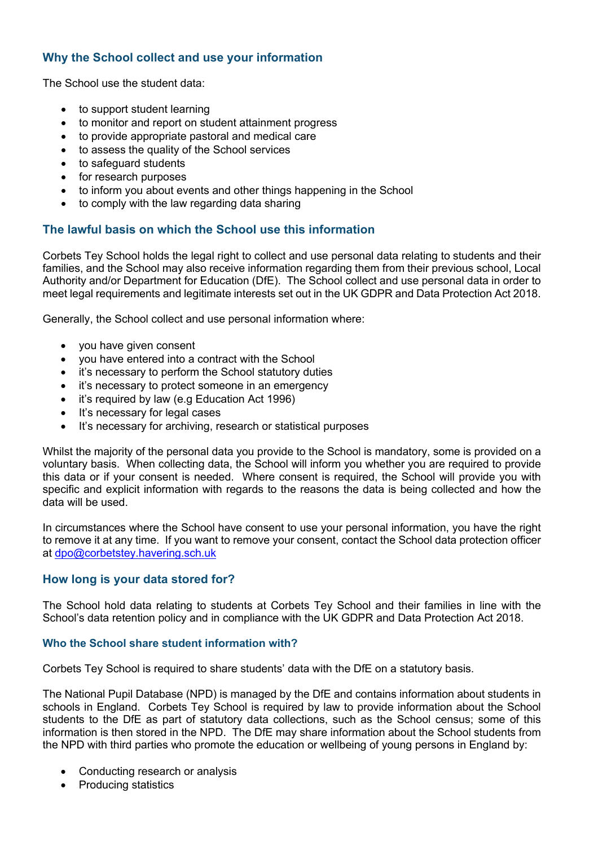# **Why the School collect and use your information**

The School use the student data:

- to support student learning
- to monitor and report on student attainment progress
- to provide appropriate pastoral and medical care
- to assess the quality of the School services
- to safeguard students
- for research purposes
- to inform you about events and other things happening in the School
- to comply with the law regarding data sharing

## **The lawful basis on which the School use this information**

Corbets Tey School holds the legal right to collect and use personal data relating to students and their families, and the School may also receive information regarding them from their previous school, Local Authority and/or Department for Education (DfE). The School collect and use personal data in order to meet legal requirements and legitimate interests set out in the UK GDPR and Data Protection Act 2018.

Generally, the School collect and use personal information where:

- you have given consent
- you have entered into a contract with the School
- it's necessary to perform the School statutory duties
- it's necessary to protect someone in an emergency
- it's required by law (e.g Education Act 1996)
- It's necessary for legal cases
- It's necessary for archiving, research or statistical purposes

Whilst the majority of the personal data you provide to the School is mandatory, some is provided on a voluntary basis. When collecting data, the School will inform you whether you are required to provide this data or if your consent is needed. Where consent is required, the School will provide you with specific and explicit information with regards to the reasons the data is being collected and how the data will be used.

In circumstances where the School have consent to use your personal information, you have the right to remove it at any time. If you want to remove your consent, contact the School data protection officer at dpo@corbetstey.havering.sch.uk

## **How long is your data stored for?**

The School hold data relating to students at Corbets Tey School and their families in line with the School's data retention policy and in compliance with the UK GDPR and Data Protection Act 2018.

#### **Who the School share student information with?**

Corbets Tey School is required to share students' data with the DfE on a statutory basis.

The National Pupil Database (NPD) is managed by the DfE and contains information about students in schools in England. Corbets Tey School is required by law to provide information about the School students to the DfE as part of statutory data collections, such as the School census; some of this information is then stored in the NPD. The DfE may share information about the School students from the NPD with third parties who promote the education or wellbeing of young persons in England by:

- Conducting research or analysis
- Producing statistics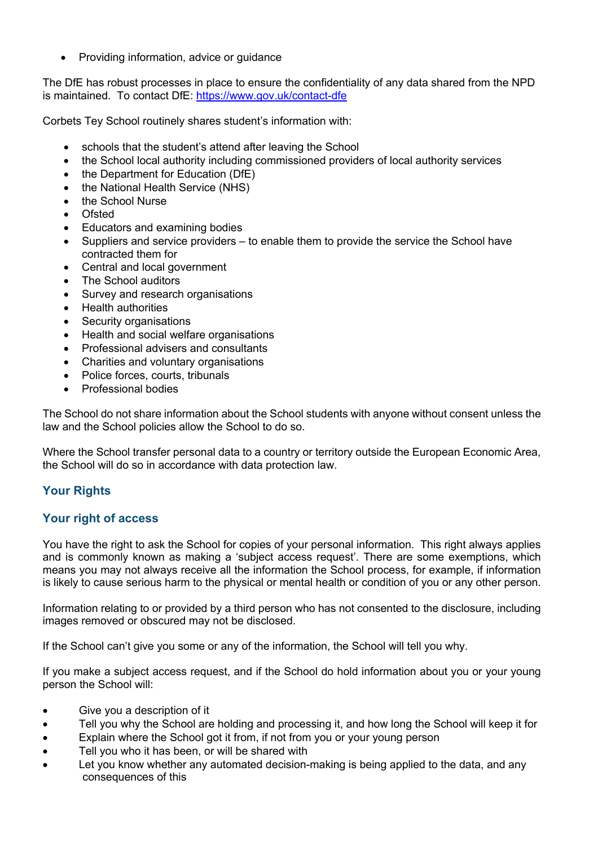• Providing information, advice or quidance

The DfE has robust processes in place to ensure the confidentiality of any data shared from the NPD is maintained. To contact DfE: https://www.gov.uk/contact-dfe

Corbets Tey School routinely shares student's information with:

- schools that the student's attend after leaving the School
- the School local authority including commissioned providers of local authority services
- the Department for Education (DfE)
- the National Health Service (NHS)
- the School Nurse
- Ofsted
- Educators and examining bodies
- Suppliers and service providers to enable them to provide the service the School have contracted them for
- Central and local government
- The School auditors
- Survey and research organisations
- Health authorities
- Security organisations
- Health and social welfare organisations
- Professional advisers and consultants
- Charities and voluntary organisations
- Police forces, courts, tribunals
- Professional bodies

The School do not share information about the School students with anyone without consent unless the law and the School policies allow the School to do so.

Where the School transfer personal data to a country or territory outside the European Economic Area, the School will do so in accordance with data protection law.

## **Your Rights**

## **Your right of access**

You have the right to ask the School for copies of your personal information. This right always applies and is commonly known as making a 'subject access request'. There are some exemptions, which means you may not always receive all the information the School process, for example, if information is likely to cause serious harm to the physical or mental health or condition of you or any other person.

Information relating to or provided by a third person who has not consented to the disclosure, including images removed or obscured may not be disclosed.

If the School can't give you some or any of the information, the School will tell you why.

If you make a subject access request, and if the School do hold information about you or your young person the School will:

- Give you a description of it
- Tell you why the School are holding and processing it, and how long the School will keep it for
- Explain where the School got it from, if not from you or your young person
- Tell you who it has been, or will be shared with
- Let you know whether any automated decision-making is being applied to the data, and any consequences of this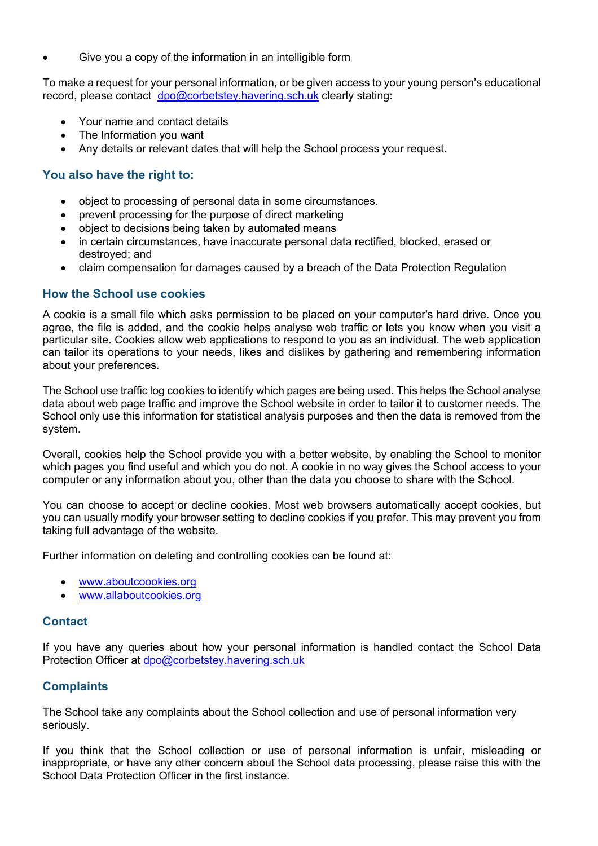• Give you a copy of the information in an intelligible form

To make a request for your personal information, or be given access to your young person's educational record, please contact dpo@corbetstey.havering.sch.uk clearly stating:

- Your name and contact details
- The Information you want
- Any details or relevant dates that will help the School process your request.

## **You also have the right to:**

- object to processing of personal data in some circumstances.
- prevent processing for the purpose of direct marketing
- object to decisions being taken by automated means
- in certain circumstances, have inaccurate personal data rectified, blocked, erased or destroyed; and
- claim compensation for damages caused by a breach of the Data Protection Regulation

### **How the School use cookies**

A cookie is a small file which asks permission to be placed on your computer's hard drive. Once you agree, the file is added, and the cookie helps analyse web traffic or lets you know when you visit a particular site. Cookies allow web applications to respond to you as an individual. The web application can tailor its operations to your needs, likes and dislikes by gathering and remembering information about your preferences.

The School use traffic log cookies to identify which pages are being used. This helps the School analyse data about web page traffic and improve the School website in order to tailor it to customer needs. The School only use this information for statistical analysis purposes and then the data is removed from the system.

Overall, cookies help the School provide you with a better website, by enabling the School to monitor which pages you find useful and which you do not. A cookie in no way gives the School access to your computer or any information about you, other than the data you choose to share with the School.

You can choose to accept or decline cookies. Most web browsers automatically accept cookies, but you can usually modify your browser setting to decline cookies if you prefer. This may prevent you from taking full advantage of the website.

Further information on deleting and controlling cookies can be found at:

- www.aboutcoookies.org
- www.allaboutcookies.org

#### **Contact**

If you have any queries about how your personal information is handled contact the School Data Protection Officer at dpo@corbetstey.havering.sch.uk

## **Complaints**

The School take any complaints about the School collection and use of personal information very seriously.

If you think that the School collection or use of personal information is unfair, misleading or inappropriate, or have any other concern about the School data processing, please raise this with the School Data Protection Officer in the first instance.